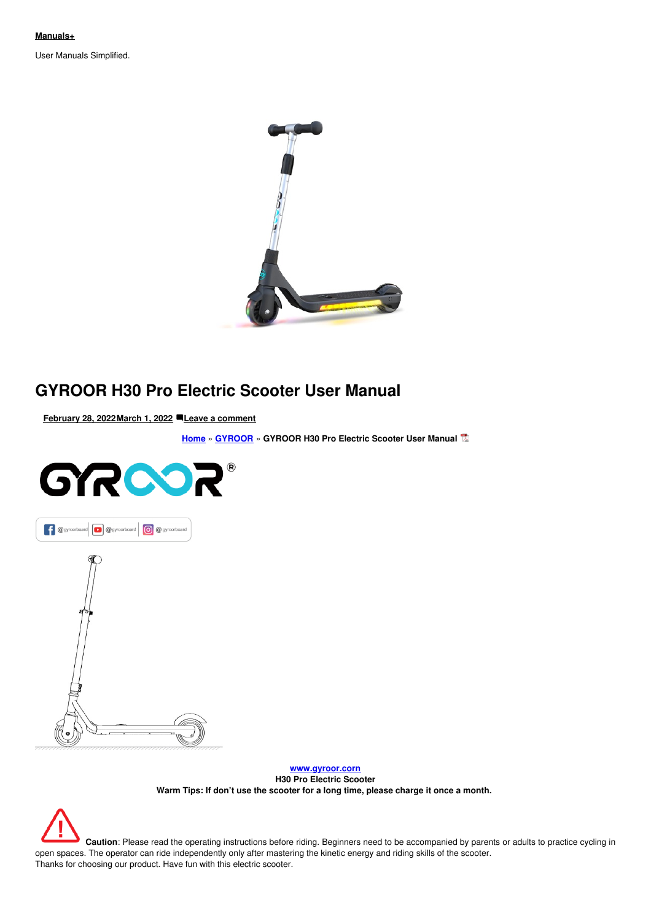User Manuals Simplified.



# **GYROOR H30 Pro Electric Scooter User Manual**

**February 28, [2022March](#page-3-0) 1, 2022 Leave a [comment](#page-6-0)**

**[Home](https://manuals.plus/)** » **[GYROOR](https://manuals.plus/category/gyroor)** » **GYROOR H30 Pro Electric Scooter User Manual**



**[www.gyroor.corn](http://www.gyroor.corn) H30 Pro Electric Scooter Warm Tips: If don't use the scooter for a long time, please charge it once a month.**

**Caution**: Please read the operating instructions before riding. Beginners need to be accompanied by parents or adults to practice cycling in open spaces. The operator can ride independently only after mastering the kinetic energy and riding skills of the scooter. Thanks for choosing our product. Have fun with this electric scooter.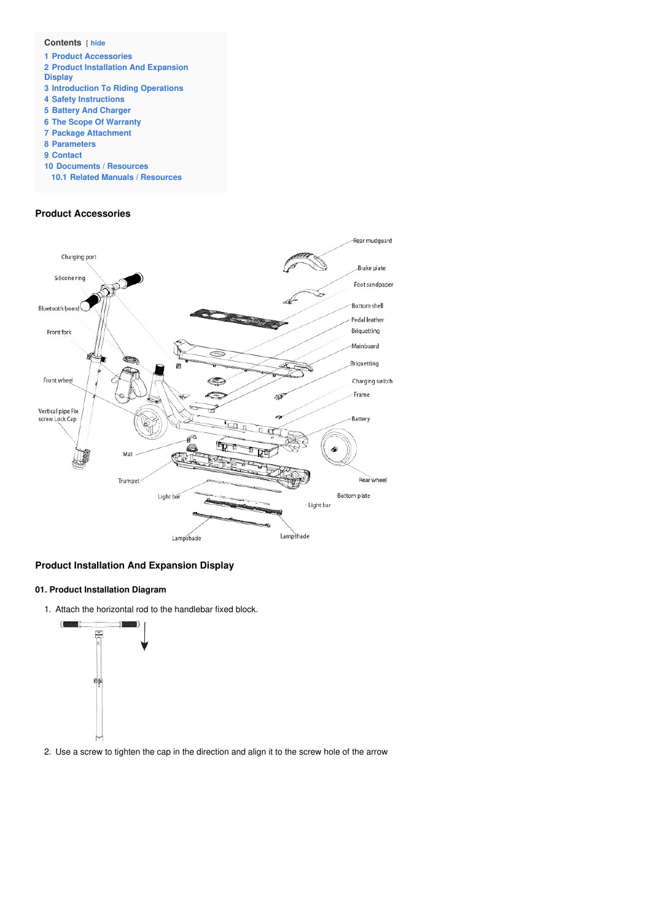

# <span id="page-1-0"></span>**Product Accessories**



# <span id="page-1-1"></span>**Product Installation And Expansion Display**

#### **01. Product Installation Diagram**

1. Attach the horizontal rod to the handlebar fixed block.



2. Use a screw to tighten the cap in the direction and align it to the screw hole of the arrow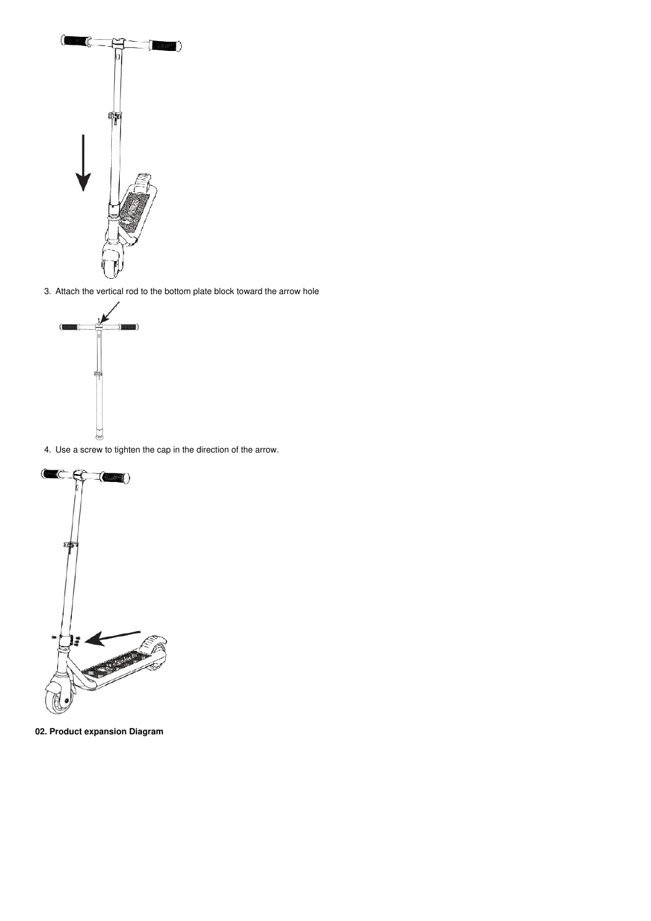

3. Attach the vertical rod to the bottom plate block toward the arrow hole



4. Use a screw to tighten the cap in the direction of the arrow.



**02. Product expansion Diagram**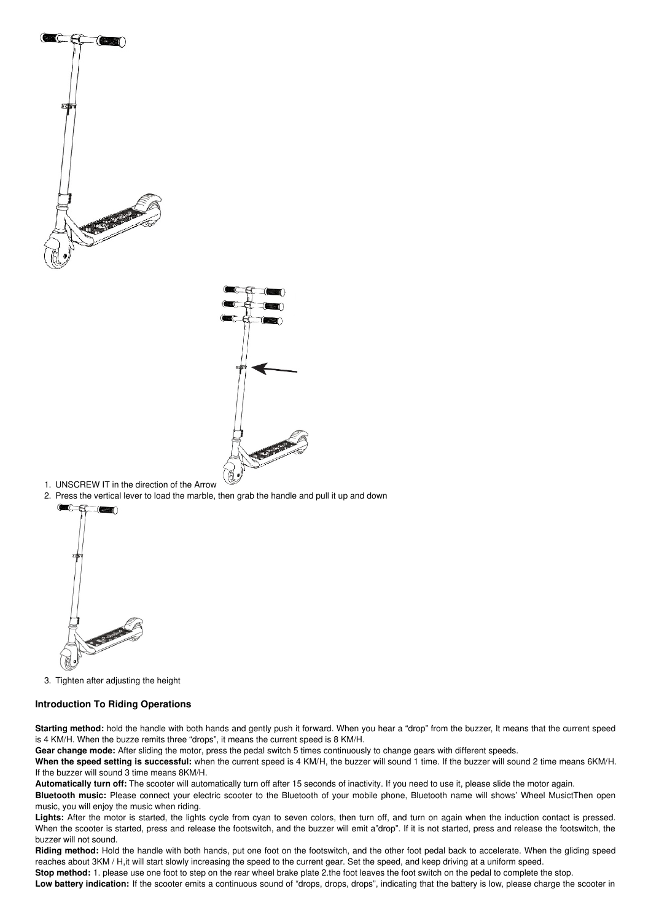<span id="page-3-0"></span>



- 1. UNSCREW IT in the direction of the Arrow
- 2. Press the vertical lever to load the marble, then grab the handle and pull it up and down



3. Tighten after adjusting the height

#### <span id="page-3-1"></span>**Introduction To Riding Operations**

**Starting method:** hold the handle with both hands and gently push it forward. When you hear a "drop" from the buzzer, It means that the current speed is 4 KM/H. When the buzze remits three "drops", it means the current speed is 8 KM/H.

**Gear change mode:** After sliding the motor, press the pedal switch 5 times continuously to change gears with different speeds.

**When the speed setting is successful:** when the current speed is 4 KM/H, the buzzer will sound 1 time. If the buzzer will sound 2 time means 6KM/H. If the buzzer will sound 3 time means 8KM/H.

**Automatically turn off:** The scooter will automatically turn off after 15 seconds of inactivity. If you need to use it, please slide the motor again. **Bluetooth music:** Please connect your electric scooter to the Bluetooth of your mobile phone, Bluetooth name will shows' Wheel MusictThen open

music, you will enjoy the music when riding. Lights: After the motor is started, the lights cycle from cyan to seven colors, then turn off, and turn on again when the induction contact is pressed.

When the scooter is started, press and release the footswitch, and the buzzer will emit a"drop". If it is not started, press and release the footswitch, the buzzer will not sound.

**Riding method:** Hold the handle with both hands, put one foot on the footswitch, and the other foot pedal back to accelerate. When the gliding speed reaches about 3KM / H,it will start slowly increasing the speed to the current gear. Set the speed, and keep driving at a uniform speed.

Stop method: 1. please use one foot to step on the rear wheel brake plate 2 the foot leaves the foot switch on the pedal to complete the stop.

Low battery indication: If the scooter emits a continuous sound of "drops, drops, drops", indicating that the battery is low, please charge the scooter in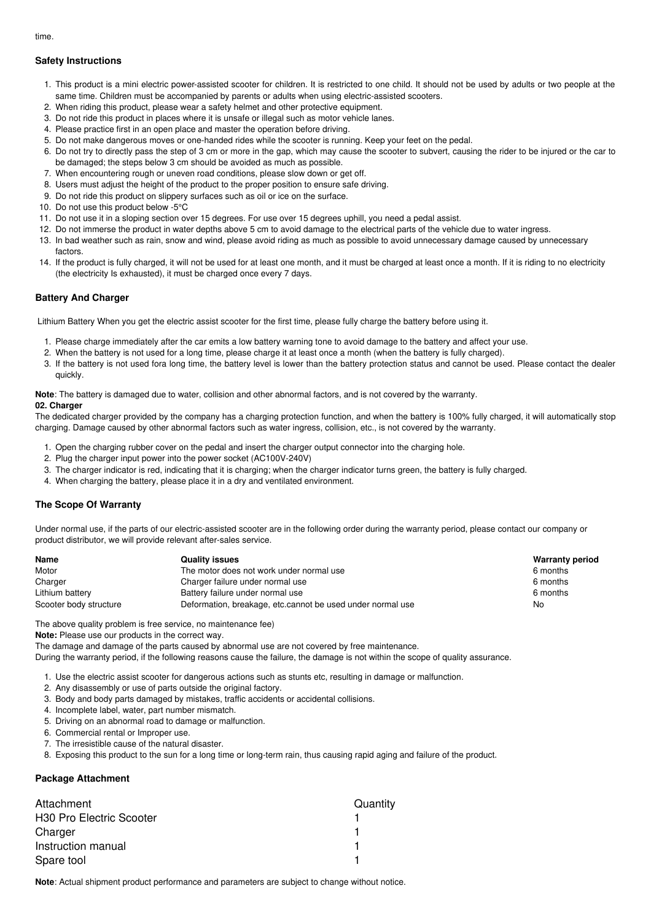# <span id="page-4-0"></span>**Safety Instructions**

- 1. This product is a mini electric power-assisted scooter for children. It is restricted to one child. It should not be used by adults or two people at the same time. Children must be accompanied by parents or adults when using electric-assisted scooters.
- 2. When riding this product, please wear a safety helmet and other protective equipment.
- 3. Do not ride this product in places where it is unsafe or illegal such as motor vehicle lanes.
- 4. Please practice first in an open place and master the operation before driving.
- 5. Do not make dangerous moves or one-handed rides while the scooter is running. Keep your feet on the pedal.
- 6. Do not try to directly pass the step of 3 cm or more in the gap, which may cause the scooter to subvert, causing the rider to be injured or the car to be damaged; the steps below 3 cm should be avoided as much as possible.
- 7. When encountering rough or uneven road conditions, please slow down or get off.
- 8. Users must adjust the height of the product to the proper position to ensure safe driving.
- 9. Do not ride this product on slippery surfaces such as oil or ice on the surface.
- 10. Do not use this product below -5°C
- 11. Do not use it in a sloping section over 15 degrees. For use over 15 degrees uphill, you need a pedal assist.
- 12. Do not immerse the product in water depths above 5 cm to avoid damage to the electrical parts of the vehicle due to water ingress.
- 13. In bad weather such as rain, snow and wind, please avoid riding as much as possible to avoid unnecessary damage caused by unnecessary
- factors. 14. If the product is fully charged, it will not be used for at least one month, and it must be charged at least once a month. If it is riding to no electricity (the electricity Is exhausted), it must be charged once every 7 days.

# <span id="page-4-1"></span>**Battery And Charger**

Lithium Battery When you get the electric assist scooter for the first time, please fully charge the battery before using it.

- 1. Please charge immediately after the car emits a low battery warning tone to avoid damage to the battery and affect your use.
- 2. When the battery is not used for a long time, please charge it at least once a month (when the battery is fully charged).
- 3. If the battery is not used fora long time, the battery level is lower than the battery protection status and cannot be used. Please contact the dealer quickly.

**Note**: The battery is damaged due to water, collision and other abnormal factors, and is not covered by the warranty.

#### **02. Charger**

The dedicated charger provided by the company has a charging protection function, and when the battery is 100% fully charged, it will automatically stop charging. Damage caused by other abnormal factors such as water ingress, collision, etc., is not covered by the warranty.

- 1. Open the charging rubber cover on the pedal and insert the charger output connector into the charging hole.
- 2. Plug the charger input power into the power socket (AC100V-240V)
- 3. The charger indicator is red, indicating that it is charging; when the charger indicator turns green, the battery is fully charged.
- 4. When charging the battery, please place it in a dry and ventilated environment.

## <span id="page-4-2"></span>**The Scope Of Warranty**

Under normal use, if the parts of our electric-assisted scooter are in the following order during the warranty period, please contact our company or product distributor, we will provide relevant after-sales service.

| Name                   | <b>Quality issues</b>                                      | <b>Warranty period</b> |
|------------------------|------------------------------------------------------------|------------------------|
| Motor                  | The motor does not work under normal use                   | 6 months               |
| Charger                | Charger failure under normal use                           | 6 months               |
| Lithium battery        | Battery failure under normal use                           | 6 months               |
| Scooter body structure | Deformation, breakage, etc.cannot be used under normal use | No                     |

The above quality problem is free service, no maintenance fee)

**Note:** Please use our products in the correct way.

The damage and damage of the parts caused by abnormal use are not covered by free maintenance.

During the warranty period, if the following reasons cause the failure, the damage is not within the scope of quality assurance.

- 1. Use the electric assist scooter for dangerous actions such as stunts etc, resulting in damage or malfunction.
- 2. Any disassembly or use of parts outside the original factory.
- 3. Body and body parts damaged by mistakes, traffic accidents or accidental collisions.
- 4. Incomplete label, water, part number mismatch.
- 5. Driving on an abnormal road to damage or malfunction.
- 6. Commercial rental or Improper use.
- 7. The irresistible cause of the natural disaster.
- 8. Exposing this product to the sun for a long time or long-term rain, thus causing rapid aging and failure of the product.

## <span id="page-4-3"></span>**Package Attachment**

| Attachment                      | Quantity |
|---------------------------------|----------|
| <b>H30 Pro Electric Scooter</b> |          |
| Charger                         |          |
| Instruction manual              |          |
| Spare tool                      |          |

**Note**: Actual shipment product performance and parameters are subject to change without notice.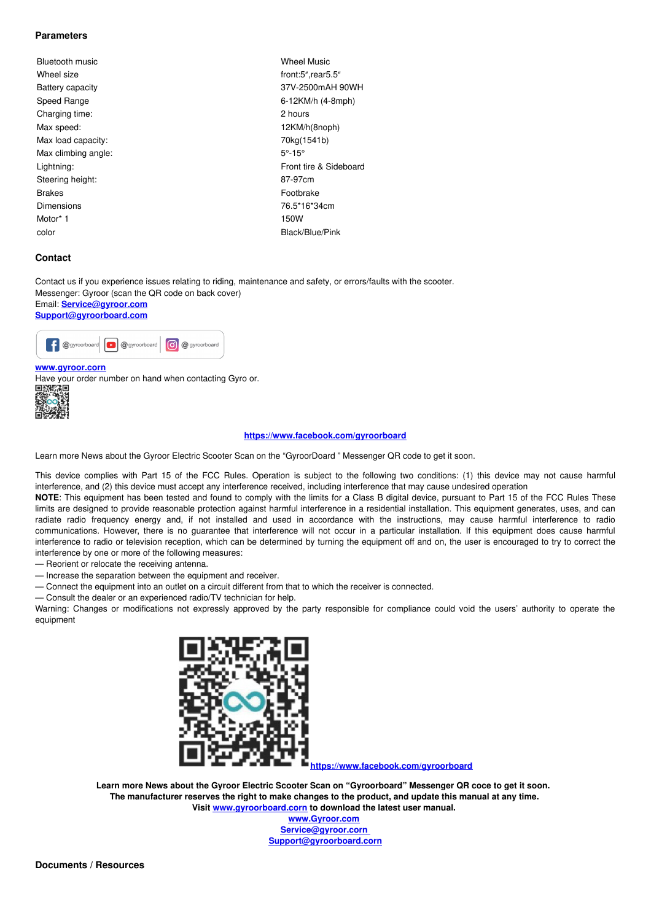#### <span id="page-5-0"></span>**Parameters**

| Bluetooth music     | Wheel Music               |
|---------------------|---------------------------|
| Wheel size          | front:5",rear5.5"         |
| Battery capacity    | 37V-2500mAH 90WH          |
| Speed Range         | 6-12KM/h (4-8mph)         |
| Charging time:      | 2 hours                   |
| Max speed:          | 12KM/h(8noph)             |
| Max load capacity:  | 70kg(1541b)               |
| Max climbing angle: | $5^{\circ} - 1.5^{\circ}$ |
| Lightning:          | Front tire & Sideboard    |
| Steering height:    | 87-97cm                   |
| <b>Brakes</b>       | Footbrake                 |
| <b>Dimensions</b>   | 76.5*16*34cm              |
| Motor* 1            | 150W                      |
| color               | Black/Blue/Pink           |

## <span id="page-5-1"></span>**Contact**

Contact us if you experience issues relating to riding, maintenance and safety, or errors/faults with the scooter. Messenger: Gyroor (scan the QR code on back cover) Email: **[Service@gyroor.com](mailto:Service@gyroor.com)**





#### **[www.gyroor.corn](http://www.gyroor.corn)**

Have your order number on hand when contacting Gyro or.



#### **<https://www.facebook.com/gyroorboard>**

Learn more News about the Gyroor Electric Scooter Scan on the "GyroorDoard " Messenger QR code to get it soon.

This device complies with Part 15 of the FCC Rules. Operation is subject to the following two conditions: (1) this device may not cause harmful interference, and (2) this device must accept any interference received, including interference that may cause undesired operation

**NOTE**: This equipment has been tested and found to comply with the limits for a Class B digital device, pursuant to Part 15 of the FCC Rules These limits are designed to provide reasonable protection against harmful interference in a residential installation. This equipment generates, uses, and can radiate radio frequency energy and, if not installed and used in accordance with the instructions, may cause harmful interference to radio communications. However, there is no guarantee that interference will not occur in a particular installation. If this equipment does cause harmful interference to radio or television reception, which can be determined by turning the equipment off and on, the user is encouraged to try to correct the interference by one or more of the following measures:

— Reorient or relocate the receiving antenna.

— Increase the separation between the equipment and receiver.

— Connect the equipment into an outlet on a circuit different from that to which the receiver is connected.

— Consult the dealer or an experienced radio/TV technician for help.

Warning: Changes or modifications not expressly approved by the party responsible for compliance could void the users' authority to operate the equipment



**<https://www.facebook.com/gyroorboard>**

<span id="page-5-2"></span>Learn more News about the Gyroor Electric Scooter Scan on "Gyroorboard" Messenger QR coce to get it soon. The manufacturer reserves the right to make changes to the product, and update this manual at any time. **Visit [www.gyroorboard.corn](http://www.gyroorboard.corn) to download the latest user manual.**

**[www.Gyroor.com](http://www.gyroor.com) [Service@gyroor.corn](mailto:Service@gyroor.corn) [Support@gyroorboard.corn](mailto:Support@gyroorboard.corn)**